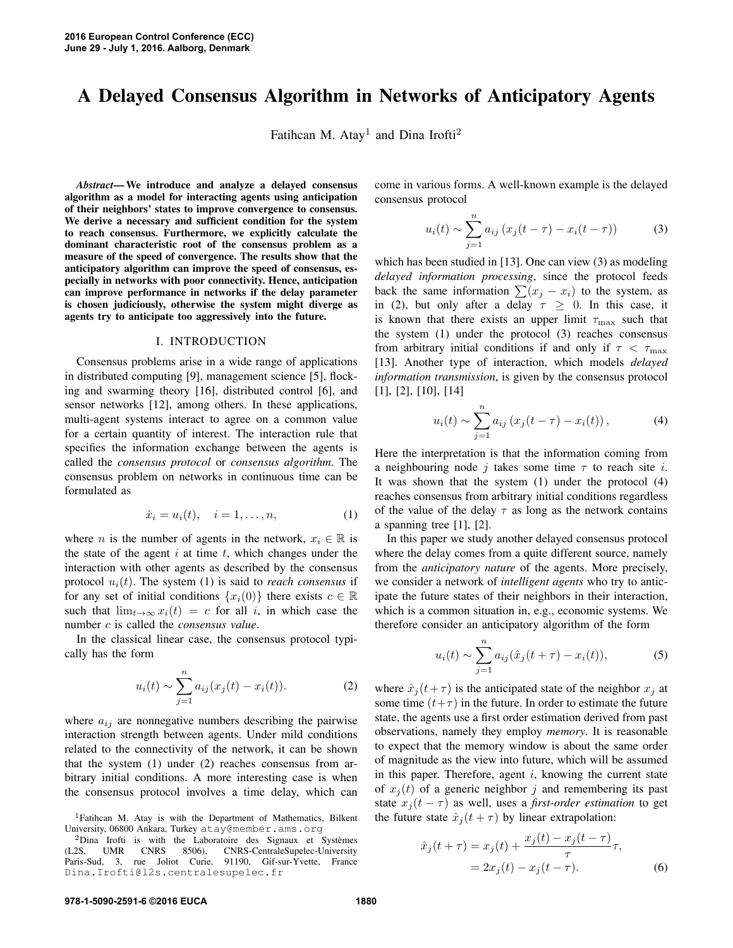# A Delayed Consensus Algorithm in Networks of Anticipatory Agents

Fatihcan M. Atay<sup>1</sup> and Dina Irofti<sup>2</sup>

*Abstract*— We introduce and analyze a delayed consensus algorithm as a model for interacting agents using anticipation of their neighbors' states to improve convergence to consensus. We derive a necessary and sufficient condition for the system to reach consensus. Furthermore, we explicitly calculate the dominant characteristic root of the consensus problem as a measure of the speed of convergence. The results show that the anticipatory algorithm can improve the speed of consensus, especially in networks with poor connectivity. Hence, anticipation can improve performance in networks if the delay parameter is chosen judiciously, otherwise the system might diverge as agents try to anticipate too aggressively into the future.

#### I. INTRODUCTION

Consensus problems arise in a wide range of applications in distributed computing [9], management science [5], flocking and swarming theory [16], distributed control [6], and sensor networks [12], among others. In these applications, multi-agent systems interact to agree on a common value for a certain quantity of interest. The interaction rule that specifies the information exchange between the agents is called the *consensus protocol* or *consensus algorithm*. The consensus problem on networks in continuous time can be formulated as

$$
\dot{x}_i = u_i(t), \quad i = 1, \dots, n,
$$
 (1)

where *n* is the number of agents in the network,  $x_i \in \mathbb{R}$  is the state of the agent  $i$  at time  $t$ , which changes under the interaction with other agents as described by the consensus protocol  $u_i(t)$ . The system (1) is said to *reach consensus* if for any set of initial conditions  $\{x_i(0)\}\$  there exists  $c \in \mathbb{R}$ such that  $\lim_{t\to\infty} x_i(t) = c$  for all i, in which case the number c is called the *consensus value*.

In the classical linear case, the consensus protocol typically has the form

$$
u_i(t) \sim \sum_{j=1}^n a_{ij}(x_j(t) - x_i(t)).
$$
 (2)

where  $a_{ij}$  are nonnegative numbers describing the pairwise interaction strength between agents. Under mild conditions related to the connectivity of the network, it can be shown that the system (1) under (2) reaches consensus from arbitrary initial conditions. A more interesting case is when the consensus protocol involves a time delay, which can come in various forms. A well-known example is the delayed consensus protocol

$$
u_i(t) \sim \sum_{j=1}^n a_{ij} (x_j(t-\tau) - x_i(t-\tau))
$$
 (3)

which has been studied in [13]. One can view (3) as modeling *delayed information processing*, since the protocol feeds back the same information  $\sum (x_j - x_i)$  to the system, as in (2), but only after a delay  $\tau \geq 0$ . In this case, it is known that there exists an upper limit  $\tau_{\text{max}}$  such that the system (1) under the protocol (3) reaches consensus from arbitrary initial conditions if and only if  $\tau < \tau_{\text{max}}$ [13]. Another type of interaction, which models *delayed information transmission*, is given by the consensus protocol [1], [2], [10], [14]

$$
u_i(t) \sim \sum_{j=1}^n a_{ij} (x_j(t-\tau) - x_i(t)),
$$
 (4)

Here the interpretation is that the information coming from a neighbouring node j takes some time  $\tau$  to reach site i. It was shown that the system (1) under the protocol (4) reaches consensus from arbitrary initial conditions regardless of the value of the delay  $\tau$  as long as the network contains a spanning tree [1], [2].

In this paper we study another delayed consensus protocol where the delay comes from a quite different source, namely from the *anticipatory nature* of the agents. More precisely, we consider a network of *intelligent agents* who try to anticipate the future states of their neighbors in their interaction, which is a common situation in, e.g., economic systems. We therefore consider an anticipatory algorithm of the form

$$
u_i(t) \sim \sum_{j=1}^n a_{ij}(\hat{x}_j(t+\tau) - x_i(t)),
$$
 (5)

where  $\hat{x}_i(t+\tau)$  is the anticipated state of the neighbor  $x_i$  at some time  $(t+\tau)$  in the future. In order to estimate the future state, the agents use a first order estimation derived from past observations, namely they employ *memory*. It is reasonable to expect that the memory window is about the same order of magnitude as the view into future, which will be assumed in this paper. Therefore, agent  $i$ , knowing the current state of  $x_i(t)$  of a generic neighbor j and remembering its past state  $x_j(t - \tau)$  as well, uses a *first-order estimation* to get the future state  $\hat{x}_i(t + \tau)$  by linear extrapolation:

$$
\hat{x}_j(t+\tau) = x_j(t) + \frac{x_j(t) - x_j(t-\tau)}{\tau} \tau, \n= 2x_j(t) - x_j(t-\tau).
$$
\n(6)

<sup>&</sup>lt;sup>1</sup>Fatihcan M. Atay is with the Department of Mathematics, Bilkent University, 06800 Ankara, Turkey atay@member.ams.org

 ${}^{2}$ Dina Irofti is with the Laboratoire des Signaux et Systèmes (L2S, UMR CNRS 8506), CNRS-CentraleSupelec-University 8506), CNRS-CentraleSupelec-University Paris-Sud, 3, rue Joliot Curie, 91190, Gif-sur-Yvette, France Dina.Irofti@l2s.centralesupelec.fr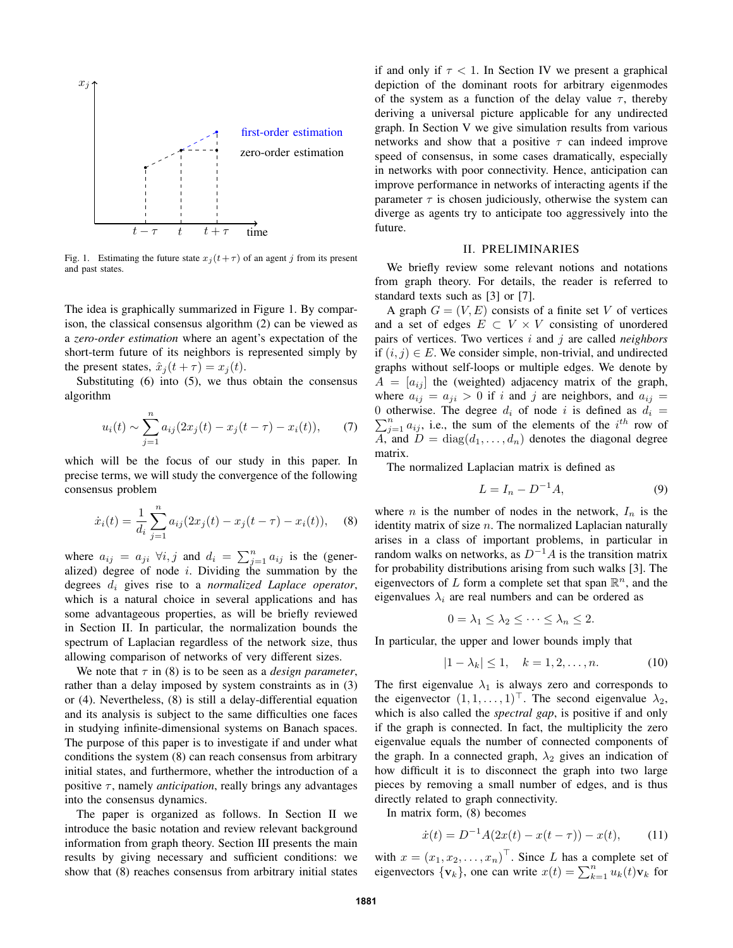

Fig. 1. Estimating the future state  $x_j(t+\tau)$  of an agent j from its present and past states.

The idea is graphically summarized in Figure 1. By comparison, the classical consensus algorithm (2) can be viewed as a *zero-order estimation* where an agent's expectation of the short-term future of its neighbors is represented simply by the present states,  $\hat{x}_i(t + \tau) = x_i(t)$ .

Substituting (6) into (5), we thus obtain the consensus algorithm

$$
u_i(t) \sim \sum_{j=1}^n a_{ij} (2x_j(t) - x_j(t - \tau) - x_i(t)), \qquad (7)
$$

which will be the focus of our study in this paper. In precise terms, we will study the convergence of the following consensus problem

$$
\dot{x}_i(t) = \frac{1}{d_i} \sum_{j=1}^n a_{ij} (2x_j(t) - x_j(t - \tau) - x_i(t)), \quad (8)
$$

where  $a_{ij} = a_{ji} \ \forall i, j$  and  $d_i = \sum_{j=1}^n a_{ij}$  is the (generalized) degree of node  $i$ . Dividing the summation by the degrees d<sup>i</sup> gives rise to a *normalized Laplace operator*, which is a natural choice in several applications and has some advantageous properties, as will be briefly reviewed in Section II. In particular, the normalization bounds the spectrum of Laplacian regardless of the network size, thus allowing comparison of networks of very different sizes.

We note that  $\tau$  in (8) is to be seen as a *design parameter*, rather than a delay imposed by system constraints as in (3) or (4). Nevertheless, (8) is still a delay-differential equation and its analysis is subject to the same difficulties one faces in studying infinite-dimensional systems on Banach spaces. The purpose of this paper is to investigate if and under what conditions the system (8) can reach consensus from arbitrary initial states, and furthermore, whether the introduction of a positive  $\tau$ , namely *anticipation*, really brings any advantages into the consensus dynamics.

The paper is organized as follows. In Section II we introduce the basic notation and review relevant background information from graph theory. Section III presents the main results by giving necessary and sufficient conditions: we show that (8) reaches consensus from arbitrary initial states if and only if  $\tau < 1$ . In Section IV we present a graphical depiction of the dominant roots for arbitrary eigenmodes of the system as a function of the delay value  $\tau$ , thereby deriving a universal picture applicable for any undirected graph. In Section V we give simulation results from various networks and show that a positive  $\tau$  can indeed improve speed of consensus, in some cases dramatically, especially in networks with poor connectivity. Hence, anticipation can improve performance in networks of interacting agents if the parameter  $\tau$  is chosen judiciously, otherwise the system can diverge as agents try to anticipate too aggressively into the future.

#### II. PRELIMINARIES

We briefly review some relevant notions and notations from graph theory. For details, the reader is referred to standard texts such as [3] or [7].

A graph  $G = (V, E)$  consists of a finite set V of vertices and a set of edges  $E \subset V \times V$  consisting of unordered pairs of vertices. Two vertices i and j are called *neighbors* if  $(i, j) \in E$ . We consider simple, non-trivial, and undirected graphs without self-loops or multiple edges. We denote by  $A = [a_{ij}]$  the (weighted) adjacency matrix of the graph, where  $a_{ij} = a_{ji} > 0$  if i and j are neighbors, and  $a_{ij} =$  $\sum_{j=1}^{n} a_{ij}$ , i.e., the sum of the elements of the  $i^{th}$  row of 0 otherwise. The degree  $d_i$  of node i is defined as  $d_i =$  $\overline{A}$ , and  $\overline{D} = \text{diag}(d_1, \ldots, d_n)$  denotes the diagonal degree matrix.

The normalized Laplacian matrix is defined as

$$
L = I_n - D^{-1}A,\tag{9}
$$

where *n* is the number of nodes in the network,  $I_n$  is the identity matrix of size  $n$ . The normalized Laplacian naturally arises in a class of important problems, in particular in random walks on networks, as  $D^{-1}A$  is the transition matrix for probability distributions arising from such walks [3]. The eigenvectors of L form a complete set that span  $\mathbb{R}^n$ , and the eigenvalues  $\lambda_i$  are real numbers and can be ordered as

$$
0 = \lambda_1 \leq \lambda_2 \leq \cdots \leq \lambda_n \leq 2.
$$

In particular, the upper and lower bounds imply that

$$
|1 - \lambda_k| \le 1, \quad k = 1, 2, \dots, n. \tag{10}
$$

The first eigenvalue  $\lambda_1$  is always zero and corresponds to the eigenvector  $(1, 1, \ldots, 1)^\top$ . The second eigenvalue  $\lambda_2$ , which is also called the *spectral gap*, is positive if and only if the graph is connected. In fact, the multiplicity the zero eigenvalue equals the number of connected components of the graph. In a connected graph,  $\lambda_2$  gives an indication of how difficult it is to disconnect the graph into two large pieces by removing a small number of edges, and is thus directly related to graph connectivity.

In matrix form, (8) becomes

$$
\dot{x}(t) = D^{-1}A(2x(t) - x(t - \tau)) - x(t), \qquad (11)
$$

with  $x = (x_1, x_2, \dots, x_n)^\top$ . Since L has a complete set of eigenvectors  $\{v_k\}$ , one can write  $x(t) = \sum_{k=1}^{n} u_k(t)v_k$  for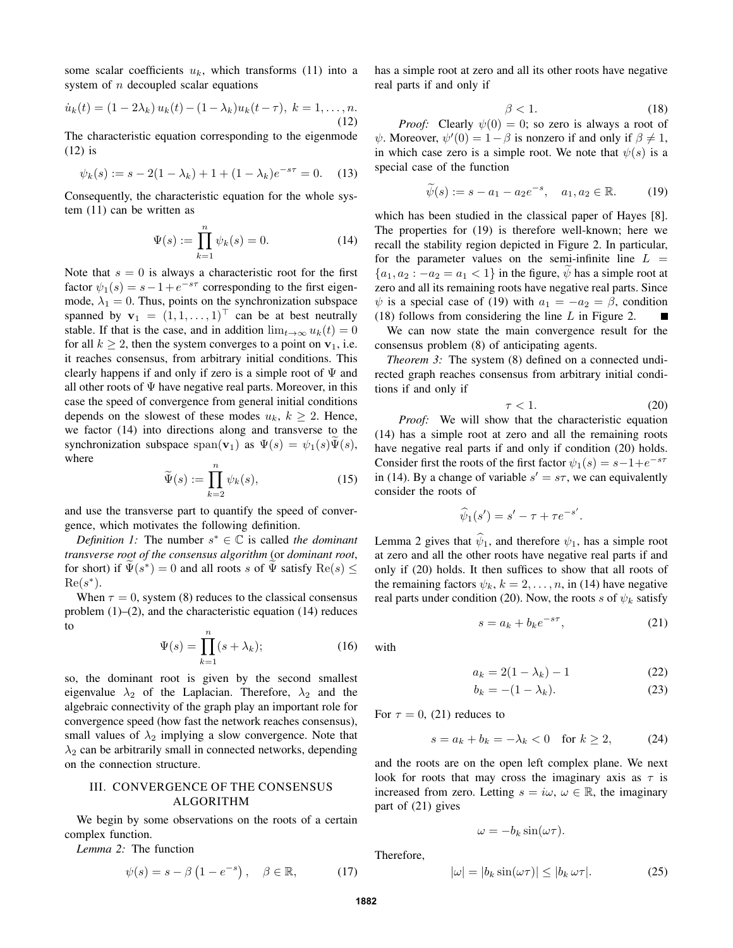some scalar coefficients  $u_k$ , which transforms (11) into a system of  $n$  decoupled scalar equations

$$
\dot{u}_k(t) = (1 - 2\lambda_k) u_k(t) - (1 - \lambda_k) u_k(t - \tau), \ k = 1, \dots, n.
$$
\n(12)

The characteristic equation corresponding to the eigenmode (12) is

$$
\psi_k(s) := s - 2(1 - \lambda_k) + 1 + (1 - \lambda_k)e^{-s\tau} = 0.
$$
 (13)

Consequently, the characteristic equation for the whole system (11) can be written as

$$
\Psi(s) := \prod_{k=1}^{n} \psi_k(s) = 0.
$$
 (14)

Note that  $s = 0$  is always a characteristic root for the first factor  $\psi_1(s) = s - 1 + e^{-s\tau}$  corresponding to the first eigenmode,  $\lambda_1 = 0$ . Thus, points on the synchronization subspace spanned by  $\mathbf{v}_1 = (1, 1, \dots, 1)^\top$  can be at best neutrally stable. If that is the case, and in addition  $\lim_{t\to\infty} u_k(t) = 0$ for all  $k \ge 2$ , then the system converges to a point on  $v_1$ , i.e. it reaches consensus, from arbitrary initial conditions. This clearly happens if and only if zero is a simple root of  $\Psi$  and all other roots of  $\Psi$  have negative real parts. Moreover, in this case the speed of convergence from general initial conditions depends on the slowest of these modes  $u_k$ ,  $k \geq 2$ . Hence, we factor (14) into directions along and transverse to the synchronization subspace  $\text{span}(\mathbf{v}_1)$  as  $\Psi(s) = \psi_1(s)\Psi(s)$ , where

$$
\widetilde{\Psi}(s) := \prod_{k=2}^{n} \psi_k(s),\tag{15}
$$

and use the transverse part to quantify the speed of convergence, which motivates the following definition.

*Definition 1:* The number  $s^* \in \mathbb{C}$  is called the dominant *transverse root of the consensus algorithm* (or *dominant root*, for short) if  $\widetilde{\Psi}(s^*) = 0$  and all roots s of  $\widetilde{\Psi}$  satisfy  $\text{Re}(s) \leq \widetilde{\Phi}(s^*)$  $Re(s^*)$ .

When  $\tau = 0$ , system (8) reduces to the classical consensus problem  $(1)$ – $(2)$ , and the characteristic equation  $(14)$  reduces to

$$
\Psi(s) = \prod_{k=1}^{n} (s + \lambda_k); \tag{16}
$$

so, the dominant root is given by the second smallest eigenvalue  $\lambda_2$  of the Laplacian. Therefore,  $\lambda_2$  and the algebraic connectivity of the graph play an important role for convergence speed (how fast the network reaches consensus), small values of  $\lambda_2$  implying a slow convergence. Note that  $\lambda_2$  can be arbitrarily small in connected networks, depending on the connection structure.

## III. CONVERGENCE OF THE CONSENSUS ALGORITHM

We begin by some observations on the roots of a certain complex function.

*Lemma 2:* The function

$$
\psi(s) = s - \beta \left( 1 - e^{-s} \right), \quad \beta \in \mathbb{R}, \tag{17}
$$

has a simple root at zero and all its other roots have negative real parts if and only if

$$
\beta < 1. \tag{18}
$$

*Proof:* Clearly  $\psi(0) = 0$ ; so zero is always a root of  $\psi$ . Moreover,  $\psi'(0) = 1 - \beta$  is nonzero if and only if  $\beta \neq 1$ , in which case zero is a simple root. We note that  $\psi(s)$  is a special case of the function

$$
\widetilde{\psi}(s) := s - a_1 - a_2 e^{-s}, \quad a_1, a_2 \in \mathbb{R}.
$$
 (19)

which has been studied in the classical paper of Hayes [8]. The properties for (19) is therefore well-known; here we recall the stability region depicted in Figure 2. In particular, for the parameter values on the semi-infinite line  $L =$  ${a_1, a_2 : -a_2 = a_1 < 1}$  in the figure,  $\psi$  has a simple root at zero and all its remaining roots have negative real parts. Since  $\psi$  is a special case of (19) with  $a_1 = -a_2 = \beta$ , condition (18) follows from considering the line  $L$  in Figure 2.

We can now state the main convergence result for the consensus problem (8) of anticipating agents.

*Theorem 3:* The system (8) defined on a connected undirected graph reaches consensus from arbitrary initial conditions if and only if

$$
\tau < 1. \tag{20}
$$

*Proof:* We will show that the characteristic equation (14) has a simple root at zero and all the remaining roots have negative real parts if and only if condition (20) holds. Consider first the roots of the first factor  $\psi_1(s) = s - 1 + e^{-s\tau}$ in (14). By a change of variable  $s' = s\tau$ , we can equivalently consider the roots of

$$
\widehat{\psi}_1(s') = s' - \tau + \tau e^{-s'}.
$$

Lemma 2 gives that  $\hat{\psi}_1$ , and therefore  $\psi_1$ , has a simple root at zero and all the other roots have negative real parts if and only if (20) holds. It then suffices to show that all roots of the remaining factors  $\psi_k$ ,  $k = 2, \dots, n$ , in (14) have negative real parts under condition (20). Now, the roots s of  $\psi_k$  satisfy

$$
s = a_k + b_k e^{-s\tau}, \tag{21}
$$

with

$$
a_k = 2(1 - \lambda_k) - 1 \tag{22}
$$

$$
b_k = -(1 - \lambda_k). \tag{23}
$$

For  $\tau = 0$ , (21) reduces to

$$
s = a_k + b_k = -\lambda_k < 0 \quad \text{for } k \ge 2,\tag{24}
$$

and the roots are on the open left complex plane. We next look for roots that may cross the imaginary axis as  $\tau$  is increased from zero. Letting  $s = i\omega, \omega \in \mathbb{R}$ , the imaginary part of (21) gives

 $\omega = -b_k \sin(\omega \tau).$ 

Therefore,

$$
|\omega| = |b_k \sin(\omega \tau)| \le |b_k \omega \tau|. \tag{25}
$$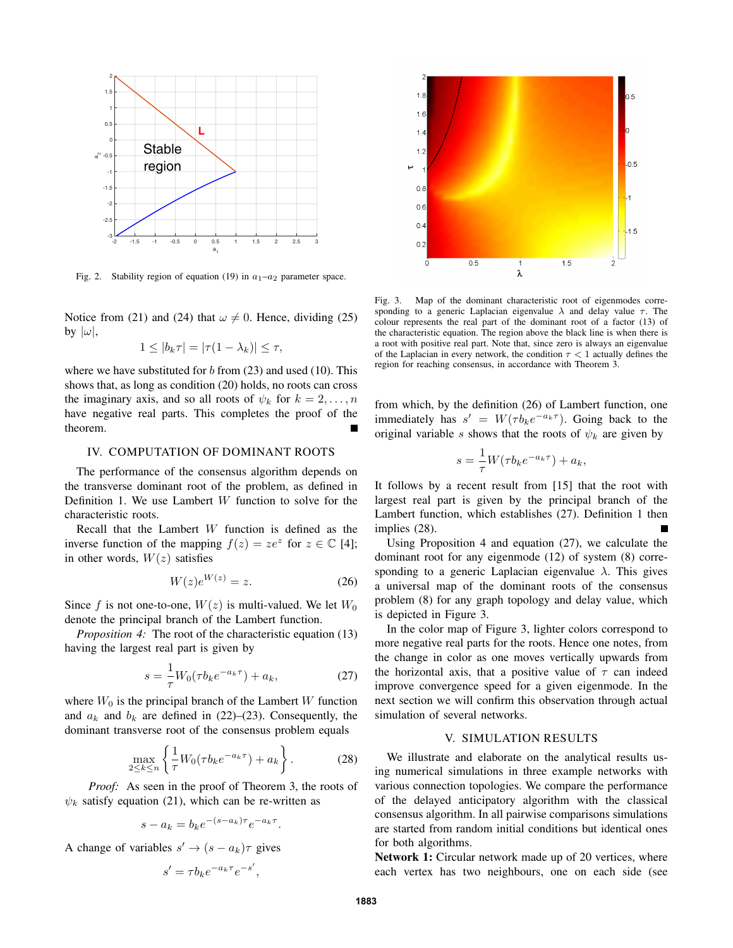

Fig. 2. Stability region of equation (19) in  $a_1-a_2$  parameter space.

Notice from (21) and (24) that  $\omega \neq 0$ . Hence, dividing (25) by  $|\omega|$ ,

$$
1 \leq |b_k \tau| = |\tau(1 - \lambda_k)| \leq \tau,
$$

where we have substituted for  $b$  from (23) and used (10). This shows that, as long as condition (20) holds, no roots can cross the imaginary axis, and so all roots of  $\psi_k$  for  $k = 2, \ldots, n$ have negative real parts. This completes the proof of the theorem.

#### IV. COMPUTATION OF DOMINANT ROOTS

The performance of the consensus algorithm depends on the transverse dominant root of the problem, as defined in Definition 1. We use Lambert  $W$  function to solve for the characteristic roots.

Recall that the Lambert W function is defined as the inverse function of the mapping  $f(z) = ze^z$  for  $z \in \mathbb{C}$  [4]; in other words,  $W(z)$  satisfies

$$
W(z)e^{W(z)} = z.\t\t(26)
$$

Since f is not one-to-one,  $W(z)$  is multi-valued. We let  $W_0$ denote the principal branch of the Lambert function.

*Proposition 4:* The root of the characteristic equation (13) having the largest real part is given by

$$
s = \frac{1}{\tau} W_0(\tau b_k e^{-a_k \tau}) + a_k,
$$
 (27)

where  $W_0$  is the principal branch of the Lambert W function and  $a_k$  and  $b_k$  are defined in (22)–(23). Consequently, the dominant transverse root of the consensus problem equals

$$
\max_{2 \le k \le n} \left\{ \frac{1}{\tau} W_0(\tau b_k e^{-a_k \tau}) + a_k \right\}.
$$
 (28)

*Proof:* As seen in the proof of Theorem 3, the roots of  $\psi_k$  satisfy equation (21), which can be re-written as

$$
s - a_k = b_k e^{-(s - a_k)\tau} e^{-a_k \tau}.
$$

A change of variables  $s' \rightarrow (s - a_k)\tau$  gives

$$
s' = \tau b_k e^{-a_k \tau} e^{-s'},
$$



Fig. 3. Map of the dominant characteristic root of eigenmodes corresponding to a generic Laplacian eigenvalue  $\lambda$  and delay value  $\tau$ . The colour represents the real part of the dominant root of a factor (13) of the characteristic equation. The region above the black line is when there is a root with positive real part. Note that, since zero is always an eigenvalue of the Laplacian in every network, the condition  $\tau < 1$  actually defines the region for reaching consensus, in accordance with Theorem 3.

from which, by the definition (26) of Lambert function, one immediately has  $s' = W(\tau b_k e^{-a_k \tau})$ . Going back to the original variable s shows that the roots of  $\psi_k$  are given by

$$
s = \frac{1}{\tau} W(\tau b_k e^{-a_k \tau}) + a_k,
$$

It follows by a recent result from [15] that the root with largest real part is given by the principal branch of the Lambert function, which establishes (27). Definition 1 then implies (28).

Using Proposition 4 and equation (27), we calculate the dominant root for any eigenmode (12) of system (8) corresponding to a generic Laplacian eigenvalue  $\lambda$ . This gives a universal map of the dominant roots of the consensus problem (8) for any graph topology and delay value, which is depicted in Figure 3.

In the color map of Figure 3, lighter colors correspond to more negative real parts for the roots. Hence one notes, from the change in color as one moves vertically upwards from the horizontal axis, that a positive value of  $\tau$  can indeed improve convergence speed for a given eigenmode. In the next section we will confirm this observation through actual simulation of several networks.

#### V. SIMULATION RESULTS

We illustrate and elaborate on the analytical results using numerical simulations in three example networks with various connection topologies. We compare the performance of the delayed anticipatory algorithm with the classical consensus algorithm. In all pairwise comparisons simulations are started from random initial conditions but identical ones for both algorithms.

Network 1: Circular network made up of 20 vertices, where each vertex has two neighbours, one on each side (see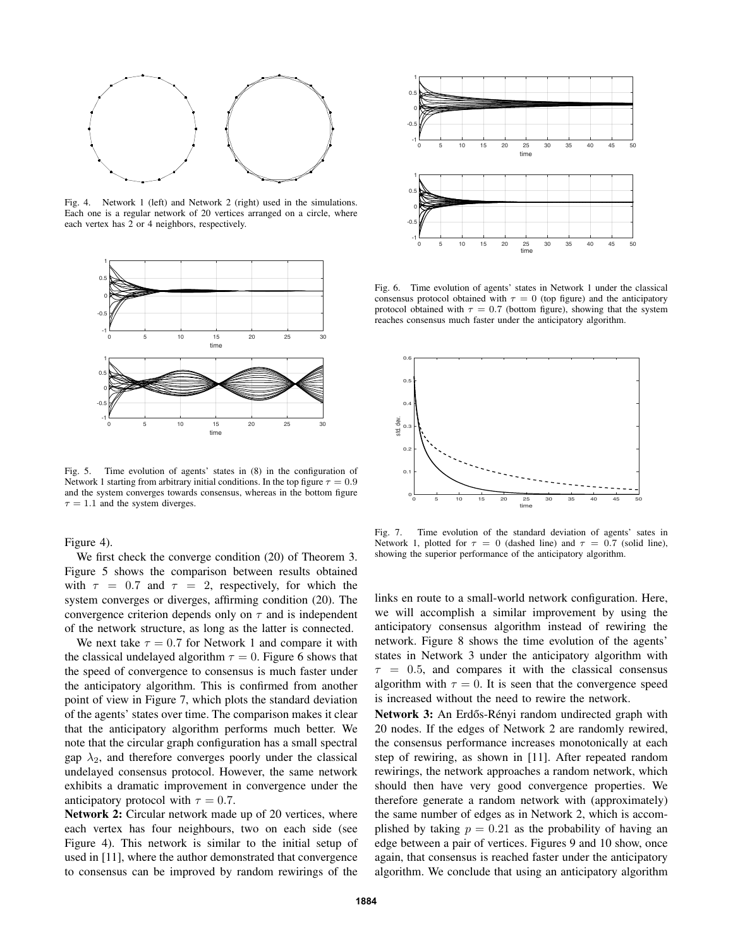

Fig. 4. Network 1 (left) and Network 2 (right) used in the simulations. Each one is a regular network of 20 vertices arranged on a circle, where each vertex has 2 or 4 neighbors, respectively.



Fig. 5. Time evolution of agents' states in (8) in the configuration of Network 1 starting from arbitrary initial conditions. In the top figure  $\tau = 0.9$ and the system converges towards consensus, whereas in the bottom figure  $\tau = 1.1$  and the system diverges.

Figure 4).

We first check the converge condition (20) of Theorem 3. Figure 5 shows the comparison between results obtained with  $\tau = 0.7$  and  $\tau = 2$ , respectively, for which the system converges or diverges, affirming condition (20). The convergence criterion depends only on  $\tau$  and is independent of the network structure, as long as the latter is connected.

We next take  $\tau = 0.7$  for Network 1 and compare it with the classical undelayed algorithm  $\tau = 0$ . Figure 6 shows that the speed of convergence to consensus is much faster under the anticipatory algorithm. This is confirmed from another point of view in Figure 7, which plots the standard deviation of the agents' states over time. The comparison makes it clear that the anticipatory algorithm performs much better. We note that the circular graph configuration has a small spectral gap  $\lambda_2$ , and therefore converges poorly under the classical undelayed consensus protocol. However, the same network exhibits a dramatic improvement in convergence under the anticipatory protocol with  $\tau = 0.7$ .

Network 2: Circular network made up of 20 vertices, where each vertex has four neighbours, two on each side (see Figure 4). This network is similar to the initial setup of used in [11], where the author demonstrated that convergence to consensus can be improved by random rewirings of the



Fig. 6. Time evolution of agents' states in Network 1 under the classical consensus protocol obtained with  $\tau = 0$  (top figure) and the anticipatory protocol obtained with  $\tau = 0.7$  (bottom figure), showing that the system reaches consensus much faster under the anticipatory algorithm.



Fig. 7. Time evolution of the standard deviation of agents' sates in Network 1, plotted for  $\tau = 0$  (dashed line) and  $\tau = 0.7$  (solid line), showing the superior performance of the anticipatory algorithm.

links en route to a small-world network configuration. Here, we will accomplish a similar improvement by using the anticipatory consensus algorithm instead of rewiring the network. Figure 8 shows the time evolution of the agents' states in Network 3 under the anticipatory algorithm with  $\tau = 0.5$ , and compares it with the classical consensus algorithm with  $\tau = 0$ . It is seen that the convergence speed is increased without the need to rewire the network.

Network 3: An Erdős-Rényi random undirected graph with 20 nodes. If the edges of Network 2 are randomly rewired, the consensus performance increases monotonically at each step of rewiring, as shown in [11]. After repeated random rewirings, the network approaches a random network, which should then have very good convergence properties. We therefore generate a random network with (approximately) the same number of edges as in Network 2, which is accomplished by taking  $p = 0.21$  as the probability of having an edge between a pair of vertices. Figures 9 and 10 show, once again, that consensus is reached faster under the anticipatory algorithm. We conclude that using an anticipatory algorithm